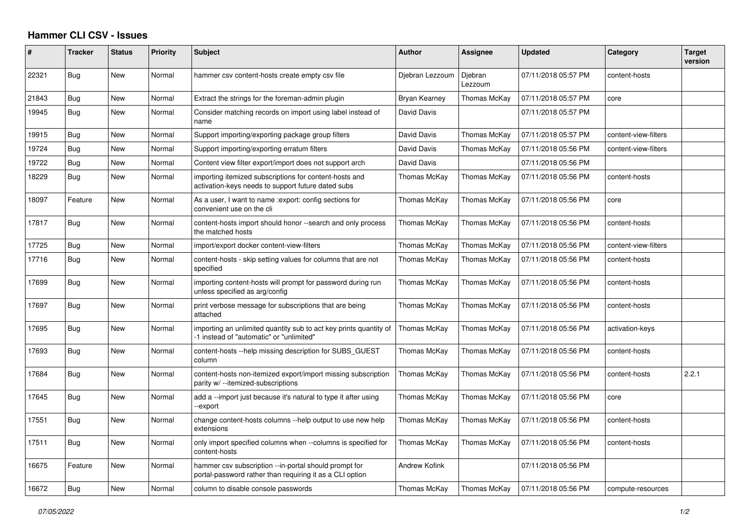## **Hammer CLI CSV - Issues**

| #     | <b>Tracker</b> | <b>Status</b> | <b>Priority</b> | <b>Subject</b>                                                                                                    | <b>Author</b>        | Assignee           | <b>Updated</b>      | Category             | <b>Target</b><br>version |
|-------|----------------|---------------|-----------------|-------------------------------------------------------------------------------------------------------------------|----------------------|--------------------|---------------------|----------------------|--------------------------|
| 22321 | Bug            | <b>New</b>    | Normal          | hammer csv content-hosts create empty csv file                                                                    | Djebran Lezzoum      | Djebran<br>Lezzoum | 07/11/2018 05:57 PM | content-hosts        |                          |
| 21843 | Bug            | New           | Normal          | Extract the strings for the foreman-admin plugin                                                                  | Bryan Kearney        | Thomas McKay       | 07/11/2018 05:57 PM | core                 |                          |
| 19945 | Bug            | New           | Normal          | Consider matching records on import using label instead of<br>name                                                | David Davis          |                    | 07/11/2018 05:57 PM |                      |                          |
| 19915 | Bug            | <b>New</b>    | Normal          | Support importing/exporting package group filters                                                                 | David Davis          | Thomas McKay       | 07/11/2018 05:57 PM | content-view-filters |                          |
| 19724 | Bug            | New           | Normal          | Support importing/exporting erratum filters                                                                       | David Davis          | Thomas McKay       | 07/11/2018 05:56 PM | content-view-filters |                          |
| 19722 | Bug            | <b>New</b>    | Normal          | Content view filter export/import does not support arch                                                           | David Davis          |                    | 07/11/2018 05:56 PM |                      |                          |
| 18229 | Bug            | <b>New</b>    | Normal          | importing itemized subscriptions for content-hosts and<br>activation-keys needs to support future dated subs      | Thomas McKay         | Thomas McKay       | 07/11/2018 05:56 PM | content-hosts        |                          |
| 18097 | Feature        | New           | Normal          | As a user, I want to name : export: config sections for<br>convenient use on the cli                              | Thomas McKay         | Thomas McKay       | 07/11/2018 05:56 PM | core                 |                          |
| 17817 | Bug            | New           | Normal          | content-hosts import should honor --search and only process<br>the matched hosts                                  | Thomas McKay         | Thomas McKay       | 07/11/2018 05:56 PM | content-hosts        |                          |
| 17725 | Bug            | New           | Normal          | import/export docker content-view-filters                                                                         | Thomas McKay         | Thomas McKay       | 07/11/2018 05:56 PM | content-view-filters |                          |
| 17716 | Bug            | <b>New</b>    | Normal          | content-hosts - skip setting values for columns that are not<br>specified                                         | Thomas McKay         | Thomas McKay       | 07/11/2018 05:56 PM | content-hosts        |                          |
| 17699 | Bug            | <b>New</b>    | Normal          | importing content-hosts will prompt for password during run<br>unless specified as arg/config                     | Thomas McKay         | Thomas McKay       | 07/11/2018 05:56 PM | content-hosts        |                          |
| 17697 | Bug            | New           | Normal          | print verbose message for subscriptions that are being<br>attached                                                | Thomas McKay         | Thomas McKay       | 07/11/2018 05:56 PM | content-hosts        |                          |
| 17695 | Bug            | New           | Normal          | importing an unlimited quantity sub to act key prints quantity of<br>-1 instead of "automatic" or "unlimited"     | Thomas McKay         | Thomas McKay       | 07/11/2018 05:56 PM | activation-keys      |                          |
| 17693 | Bug            | New           | Normal          | content-hosts --help missing description for SUBS GUEST<br>column                                                 | Thomas McKay         | Thomas McKay       | 07/11/2018 05:56 PM | content-hosts        |                          |
| 17684 | Bug            | New           | Normal          | content-hosts non-itemized export/import missing subscription<br>parity w/ --itemized-subscriptions               | Thomas McKay         | Thomas McKay       | 07/11/2018 05:56 PM | content-hosts        | 2.2.1                    |
| 17645 | Bug            | New           | Normal          | add a --import just because it's natural to type it after using<br>-export                                        | Thomas McKay         | Thomas McKay       | 07/11/2018 05:56 PM | core                 |                          |
| 17551 | Bug            | <b>New</b>    | Normal          | change content-hosts columns --help output to use new help<br>extensions                                          | Thomas McKay         | Thomas McKay       | 07/11/2018 05:56 PM | content-hosts        |                          |
| 17511 | Bug            | New           | Normal          | only import specified columns when --columns is specified for<br>content-hosts                                    | Thomas McKay         | Thomas McKay       | 07/11/2018 05:56 PM | content-hosts        |                          |
| 16675 | Feature        | New           | Normal          | hammer csv subscription --in-portal should prompt for<br>portal-password rather than requiring it as a CLI option | <b>Andrew Kofink</b> |                    | 07/11/2018 05:56 PM |                      |                          |
| 16672 | Bug            | New           | Normal          | column to disable console passwords                                                                               | Thomas McKay         | Thomas McKay       | 07/11/2018 05:56 PM | compute-resources    |                          |